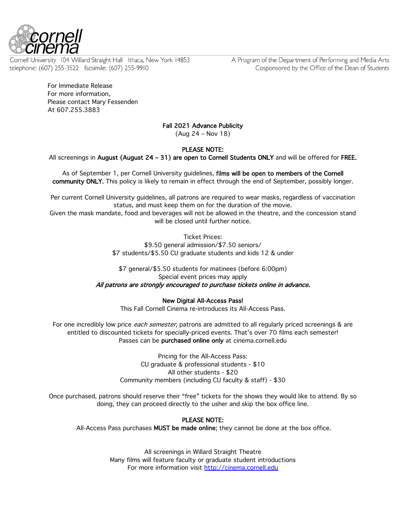

Cornell University 104 Willard Straight Hall Ithaca, New York 14853 telephone: (607) 255-3522 facsimile: (607) 255-9910

A Program of the Department of Performing and Media Arts Cosponsored by the Office of the Dean of Students

For Immediate Release For more information, Please contact Mary Fessenden At 607.255.3883

### Fall 2021 Advance Publicity

(Aug 24 – Nov 18)

#### PLEASE NOTE:

All screenings in August (August 24 - 31) are open to Cornell Students ONLY and will be offered for FREE.

As of September 1, per Cornell University quidelines, films will be open to members of the Cornell community ONLY. This policy is likely to remain in effect through the end of September, possibly longer.

Per current Cornell University guidelines, all patrons are required to wear masks, regardless of vaccination status, and must keep them on for the duration of the movie.

Given the mask mandate, food and beverages will not be allowed in the theatre, and the concession stand will be closed until further notice.

> Ticket Prices: \$9.50 general admission/\$7.50 seniors/ \$7 students/\$5.50 CU graduate students and kids 12 & under

#### \$7 general/\$5.50 students for matinees (before 6:00pm) Special event prices may apply All patrons are strongly encouraged to purchase tickets online in advance.

#### New Digital All-Access Pass!

This Fall Cornell Cinema re-introduces its All-Access Pass.

For one incredibly low price *each semester*, patrons are admitted to all regularly priced screenings & are entitled to discounted tickets for specially-priced events. That's over 70 films each semester! Passes can be purchased online only at cinema.cornell.edu

> Pricing for the All-Access Pass: CU graduate & professional students - \$10 All other students - \$20 Community members (including CU faculty & staff) - \$30

Once purchased, patrons should reserve their "free" tickets for the shows they would like to attend. By so doing, they can proceed directly to the usher and skip the box office line.

## PLEASE NOTE:

All-Access Pass purchases MUST be made online; they cannot be done at the box office.

All screenings in Willard Straight Theatre Many films will feature faculty or graduate student introductions For more information visit http://cinema.cornell.edu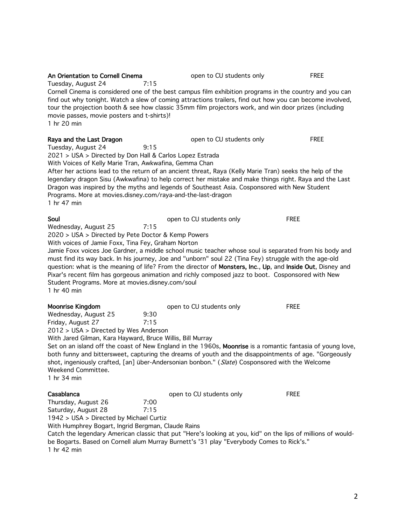# Tuesday, August 24 7:15

Cornell Cinema is considered one of the best campus film exhibition programs in the country and you can find out why tonight. Watch a slew of coming attractions trailers, find out how you can become involved, tour the projection booth & see how classic 35mm film projectors work, and win door prizes (including movie passes, movie posters and t-shirts)! 1 hr 20 min

| Raya and the Last Dragon<br>Tuesday, August 24<br>9:15<br>2021 > USA > Directed by Don Hall & Carlos Lopez Estrada<br>With Voices of Kelly Marie Tran, Awkwafina, Gemma Chan<br>Programs. More at movies.disney.com/raya-and-the-last-dragon<br>1 hr 47 min                                                                                                                                                                                                                                                                                                                                   | open to CU students only<br>After her actions lead to the return of an ancient threat, Raya (Kelly Marie Tran) seeks the help of the<br>legendary dragon Sisu (Awkwafina) to help correct her mistake and make things right. Raya and the Last<br>Dragon was inspired by the myths and legends of Southeast Asia. Cosponsored with New Student                                                                                                                 | <b>FREE</b> |  |  |
|-----------------------------------------------------------------------------------------------------------------------------------------------------------------------------------------------------------------------------------------------------------------------------------------------------------------------------------------------------------------------------------------------------------------------------------------------------------------------------------------------------------------------------------------------------------------------------------------------|----------------------------------------------------------------------------------------------------------------------------------------------------------------------------------------------------------------------------------------------------------------------------------------------------------------------------------------------------------------------------------------------------------------------------------------------------------------|-------------|--|--|
| Soul<br>Wednesday, August 25<br>7:15<br>2020 > USA > Directed by Pete Doctor & Kemp Powers<br>With voices of Jamie Foxx, Tina Fey, Graham Norton<br>Student Programs. More at movies.disney.com/soul<br>1 hr 40 min                                                                                                                                                                                                                                                                                                                                                                           | open to CU students only<br>Jamie Foxx voices Joe Gardner, a middle school music teacher whose soul is separated from his body and<br>must find its way back. In his journey, Joe and "unborn" soul 22 (Tina Fey) struggle with the age-old<br>question: what is the meaning of life? From the director of Monsters, Inc., Up, and Inside Out, Disney and<br>Pixar's recent film has gorgeous animation and richly composed jazz to boot. Cosponsored with New | <b>FREE</b> |  |  |
| <b>FREE</b><br>Moonrise Kingdom<br>open to CU students only<br>Wednesday, August 25<br>9:30<br>Friday, August 27<br>7:15<br>2012 > USA > Directed by Wes Anderson<br>With Jared Gilman, Kara Hayward, Bruce Willis, Bill Murray<br>Set on an island off the coast of New England in the 1960s, Moonrise is a romantic fantasia of young love,<br>both funny and bittersweet, capturing the dreams of youth and the disappointments of age. "Gorgeously<br>shot, ingeniously crafted, [an] über-Andersonian bonbon." (Slate) Cosponsored with the Welcome<br>Weekend Committee.<br>1 hr 34 min |                                                                                                                                                                                                                                                                                                                                                                                                                                                                |             |  |  |
| Casablanca<br>Thursday, August 26<br>7:00<br>Saturday, August 28<br>7:15<br>1942 > USA > Directed by Michael Curtiz<br>With Humphrey Bogart, Ingrid Bergman, Claude Rains<br>1 hr 42 min                                                                                                                                                                                                                                                                                                                                                                                                      | open to CU students only<br>Catch the legendary American classic that put "Here's looking at you, kid" on the lips of millions of would-<br>be Bogarts. Based on Cornell alum Murray Burnett's '31 play "Everybody Comes to Rick's."                                                                                                                                                                                                                           | <b>FREE</b> |  |  |

## An Orientation to Cornell Cinema open to CU students only FREE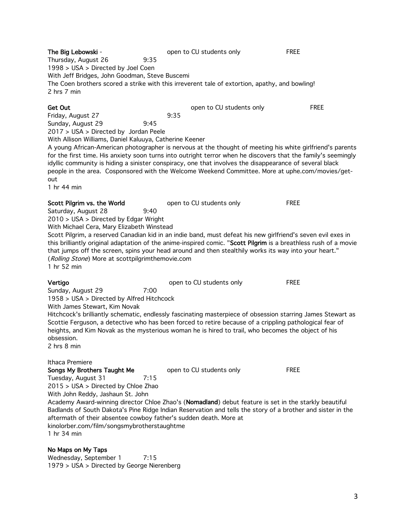| The Big Lebowski -<br>Thursday, August 26<br>9:35<br>1998 > USA > Directed by Joel Coen<br>With Jeff Bridges, John Goodman, Steve Buscemi<br>The Coen brothers scored a strike with this irreverent tale of extortion, apathy, and bowling!<br>2 hrs 7 min                                                                                                                                                                                                                                                                                                                                                                              |      | open to CU students only | <b>FREE</b> |
|-----------------------------------------------------------------------------------------------------------------------------------------------------------------------------------------------------------------------------------------------------------------------------------------------------------------------------------------------------------------------------------------------------------------------------------------------------------------------------------------------------------------------------------------------------------------------------------------------------------------------------------------|------|--------------------------|-------------|
| <b>Get Out</b><br>Friday, August 27<br>Sunday, August 29<br>9:45<br>2017 > USA > Directed by Jordan Peele<br>With Allison Williams, Daniel Kaluuya, Catherine Keener<br>A young African-American photographer is nervous at the thought of meeting his white girlfriend's parents<br>for the first time. His anxiety soon turns into outright terror when he discovers that the family's seemingly<br>idyllic community is hiding a sinister conspiracy, one that involves the disappearance of several black<br>people in the area. Cosponsored with the Welcome Weekend Committee. More at uphe.com/movies/get-<br>out<br>1 hr 44 min | 9:35 | open to CU students only | <b>FREE</b> |
| Scott Pilgrim vs. the World<br>Saturday, August 28<br>9:40<br>2010 > USA > Directed by Edgar Wright<br>With Michael Cera, Mary Elizabeth Winstead<br>Scott Pilgrim, a reserved Canadian kid in an indie band, must defeat his new girlfriend's seven evil exes in<br>this brilliantly original adaptation of the anime-inspired comic. "Scott Pilgrim is a breathless rush of a movie<br>that jumps off the screen, spins your head around and then stealthily works its way into your heart."<br>(Rolling Stone) More at scottpilgrimthemovie.com<br>1 hr 52 min                                                                       |      | open to CU students only | <b>FREE</b> |
| Vertigo<br>Sunday, August 29<br>7:00<br>1958 > USA > Directed by Alfred Hitchcock<br>With James Stewart, Kim Novak<br>Hitchcock's brilliantly schematic, endlessly fascinating masterpiece of obsession starring James Stewart as<br>Scottie Ferguson, a detective who has been forced to retire because of a crippling pathological fear of<br>heights, and Kim Novak as the mysterious woman he is hired to trail, who becomes the object of his<br>obsession.<br>2 hrs 8 min                                                                                                                                                         |      | open to CU students only | <b>FREE</b> |
| Ithaca Premiere<br>Songs My Brothers Taught Me<br>7:15<br>Tuesday, August 31<br>2015 > USA > Directed by Chloe Zhao<br>With John Reddy, Jashaun St. John<br>Academy Award-winning director Chloe Zhao's (Nomadland) debut feature is set in the starkly beautiful<br>Badlands of South Dakota's Pine Ridge Indian Reservation and tells the story of a brother and sister in the<br>aftermath of their absentee cowboy father's sudden death. More at<br>kinolorber.com/film/songsmybrotherstaughtme<br>1 hr 34 min                                                                                                                     |      | open to CU students only | <b>FREE</b> |
| No Maps on My Taps                                                                                                                                                                                                                                                                                                                                                                                                                                                                                                                                                                                                                      |      |                          |             |

Wednesday, September 1 7:15 1979 > USA > Directed by George Nierenberg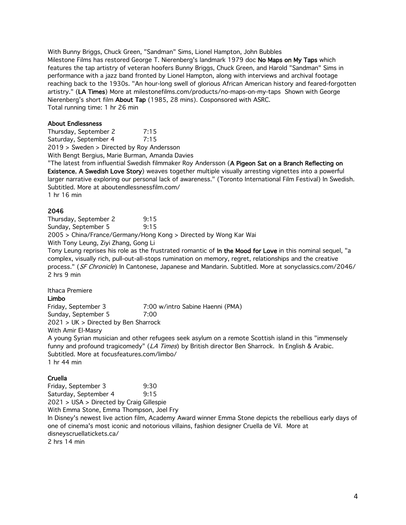With Bunny Briggs, Chuck Green, "Sandman" Sims, Lionel Hampton, John Bubbles Milestone Films has restored George T. Nierenberg's landmark 1979 doc No Maps on My Taps which features the tap artistry of veteran hoofers Bunny Briggs, Chuck Green, and Harold "Sandman" Sims in performance with a jazz band fronted by Lionel Hampton, along with interviews and archival footage reaching back to the 1930s. "An hour-long swell of glorious African American history and feared-forgotten artistry." (LA Times) More at milestonefilms.com/products/no-maps-on-my-taps Shown with George Nierenberg's short film About Tap (1985, 28 mins). Cosponsored with ASRC. Total running time: 1 hr 26 min

#### About Endlessness

Thursday, September 2 7:15 Saturday, September 4 7:15 2019 > Sweden > Directed by Roy Andersson With Bengt Bergius, Marie Burman, Amanda Davies

"The latest from influential Swedish filmmaker Roy Andersson (A Pigeon Sat on a Branch Reflecting on Existence, A Swedish Love Story) weaves together multiple visually arresting vignettes into a powerful larger narrative exploring our personal lack of awareness." (Toronto International Film Festival) In Swedish. Subtitled. More at aboutendlessnessfilm.com/ 1 hr 16 min

### 2046

Thursday, September 2 9:15 Sunday, September 5 9:15 2005 > China/France/Germany/Hong Kong > Directed by Wong Kar Wai With Tony Leung, Ziyi Zhang, Gong Li Tony Leung reprises his role as the frustrated romantic of In the Mood for Love in this nominal sequel, "a complex, visually rich, pull-out-all-stops rumination on memory, regret, relationships and the creative process." (SF Chronicle) In Cantonese, Japanese and Mandarin. Subtitled. More at sonyclassics.com/2046/ 2 hrs 9 min

Ithaca Premiere Limbo Friday, September 3 7:00 w/intro Sabine Haenni (PMA) Sunday, September 5 7:00 2021 > UK > Directed by Ben Sharrock With Amir El-Masry A young Syrian musician and other refugees seek asylum on a remote Scottish island in this "immensely funny and profound tragicomedy" (LA Times) by British director Ben Sharrock. In English & Arabic. Subtitled. More at focusfeatures.com/limbo/ 1 hr 44 min

#### **Cruella**

Friday, September 3 9:30 Saturday, September 4 9:15 2021 > USA > Directed by Craig Gillespie With Emma Stone, Emma Thompson, Joel Fry In Disney's newest live action film, Academy Award winner Emma Stone depicts the rebellious early days of one of cinema's most iconic and notorious villains, fashion designer Cruella de Vil. More at disneyscruellatickets.ca/ 2 hrs 14 min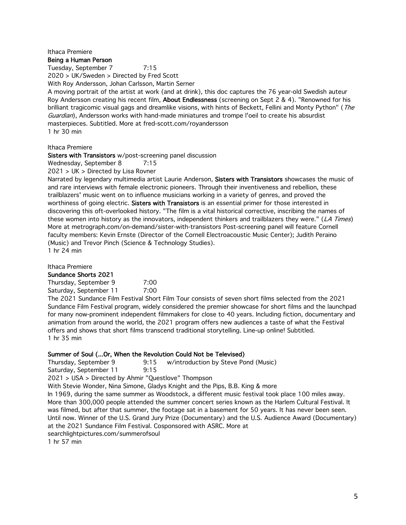#### Ithaca Premiere Being a Human Person

Tuesday, September 7 7:15 2020 > UK/Sweden > Directed by Fred Scott With Roy Andersson, Johan Carlsson, Martin Serner

A moving portrait of the artist at work (and at drink), this doc captures the 76 year-old Swedish auteur Roy Andersson creating his recent film, About Endlessness (screening on Sept 2 & 4). "Renowned for his brilliant tragicomic visual gags and dreamlike visions, with hints of Beckett, Fellini and Monty Python" (The Guardian), Andersson works with hand-made miniatures and trompe l'oeil to create his absurdist masterpieces. Subtitled. More at fred-scott.com/royandersson 1 hr 30 min

Ithaca Premiere

Sisters with Transistors w/post-screening panel discussion

Wednesday, September 8 7:15

2021 > UK > Directed by Lisa Rovner

Narrated by legendary multimedia artist Laurie Anderson, Sisters with Transistors showcases the music of and rare interviews with female electronic pioneers. Through their inventiveness and rebellion, these trailblazers' music went on to influence musicians working in a variety of genres, and proved the worthiness of going electric. Sisters with Transistors is an essential primer for those interested in discovering this oft-overlooked history. "The film is a vital historical corrective, inscribing the names of these women into history as the innovators, independent thinkers and trailblazers they were." (LA Times) More at metrograph.com/on-demand/sister-with-transistors Post-screening panel will feature Cornell faculty members: Kevin Ernste (Director of the Cornell Electroacoustic Music Center); Judith Peraino (Music) and Trevor Pinch (Science & Technology Studies). 1 hr 24 min

Ithaca Premiere

Sundance Shorts 2021 Thursday, September 9 7:00 Saturday, September 11 7:00

The 2021 Sundance Film Festival Short Film Tour consists of seven short films selected from the 2021 Sundance Film Festival program, widely considered the premier showcase for short films and the launchpad for many now-prominent independent filmmakers for close to 40 years. Including fiction, documentary and animation from around the world, the 2021 program offers new audiences a taste of what the Festival offers and shows that short films transcend traditional storytelling. Line-up online! Subtitled. 1 hr 35 min

### Summer of Soul (...Or, When the Revolution Could Not be Televised)

Thursday, September 9 9:15 w/introduction by Steve Pond (Music) Saturday, September 11 9:15

2021 > USA > Directed by Ahmir "Questlove" Thompson

With Stevie Wonder, Nina Simone, Gladys Knight and the Pips, B.B. King & more

In 1969, during the same summer as Woodstock, a different music festival took place 100 miles away. More than 300,000 people attended the summer concert series known as the Harlem Cultural Festival. It was filmed, but after that summer, the footage sat in a basement for 50 years. It has never been seen. Until now. Winner of the U.S. Grand Jury Prize (Documentary) and the U.S. Audience Award (Documentary) at the 2021 Sundance Film Festival. Cosponsored with ASRC. More at

searchlightpictures.com/summerofsoul

1 hr 57 min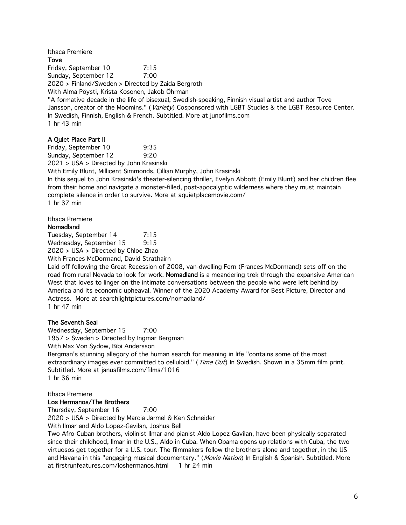Ithaca Premiere Tove Friday, September 10 7:15 Sunday, September 12 7:00 2020 > Finland/Sweden > Directed by Zaida Bergroth With Alma Pöysti, Krista Kosonen, Jakob Öhrman "A formative decade in the life of bisexual, Swedish-speaking, Finnish visual artist and author Tove Jansson, creator of the Moomins." (Variety) Cosponsored with LGBT Studies & the LGBT Resource Center. In Swedish, Finnish, English & French. Subtitled. More at junofilms.com

1 hr 43 min

### A Quiet Place Part II

Friday, September 10 9:35 Sunday, September 12 9:20 2021 > USA > Directed by John Krasinski

With Emily Blunt, Millicent Simmonds, Cillian Murphy, John Krasinski

In this sequel to John Krasinski's theater-silencing thriller, Evelyn Abbott (Emily Blunt) and her children flee from their home and navigate a monster-filled, post-apocalyptic wilderness where they must maintain complete silence in order to survive. More at aquietplacemovie.com/ 1 hr 37 min

Ithaca Premiere

#### Nomadland

Tuesday, September 14 7:15 Wednesday, September 15 9:15 2020 > USA > Directed by Chloe Zhao

With Frances McDormand, David Strathairn

Laid off following the Great Recession of 2008, van-dwelling Fern (Frances McDormand) sets off on the road from rural Nevada to look for work. Nomadland is a meandering trek through the expansive American West that loves to linger on the intimate conversations between the people who were left behind by America and its economic upheaval. Winner of the 2020 Academy Award for Best Picture, Director and Actress. More at searchlightpictures.com/nomadland/ 1 hr 47 min

#### The Seventh Seal

Wednesday, September 15 7:00 1957 > Sweden > Directed by Ingmar Bergman With Max Von Sydow, Bibi Andersson Bergman's stunning allegory of the human search for meaning in life "contains some of the most extraordinary images ever committed to celluloid." (Time Out) In Swedish. Shown in a 35mm film print. Subtitled. More at janusfilms.com/films/1016 1 hr 36 min

Ithaca Premiere

#### Los Hermanos/The Brothers

Thursday, September 16 7:00 2020 > USA > Directed by Marcia Jarmel & Ken Schneider With Ilmar and Aldo Lopez-Gavilan, Joshua Bell

Two Afro-Cuban brothers, violinist Ilmar and pianist Aldo Lopez-Gavilan, have been physically separated since their childhood, Ilmar in the U.S., Aldo in Cuba. When Obama opens up relations with Cuba, the two virtuosos get together for a U.S. tour. The filmmakers follow the brothers alone and together, in the US and Havana in this "engaging musical documentary." (Movie Nation) In English & Spanish. Subtitled. More at firstrunfeatures.com/loshermanos.html 1 hr 24 min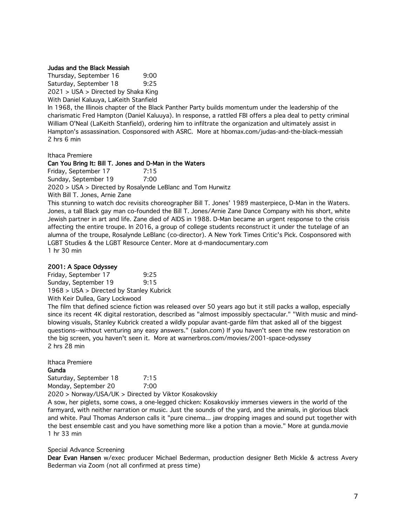#### Judas and the Black Messiah

Thursday, September 16 9:00 Saturday, September 18 9:25 2021 > USA > Directed by Shaka King With Daniel Kaluuya, LaKeith Stanfield

In 1968, the Illinois chapter of the Black Panther Party builds momentum under the leadership of the charismatic Fred Hampton (Daniel Kaluuya). In response, a rattled FBI offers a plea deal to petty criminal William O'Neal (LaKeith Stanfield), ordering him to infiltrate the organization and ultimately assist in Hampton's assassination. Cosponsored with ASRC. More at hbomax.com/judas-and-the-black-messiah 2 hrs 6 min

Ithaca Premiere

#### Can You Bring It: Bill T. Jones and D-Man in the Waters

Friday, September 17 7:15 Sunday, September 19 7:00 2020 > USA > Directed by Rosalynde LeBlanc and Tom Hurwitz With Bill T. Jones, Arnie Zane

This stunning to watch doc revisits choreographer Bill T. Jones' 1989 masterpiece, D-Man in the Waters. Jones, a tall Black gay man co-founded the Bill T. Jones/Arnie Zane Dance Company with his short, white Jewish partner in art and life. Zane died of AIDS in 1988. D-Man became an urgent response to the crisis affecting the entire troupe. In 2016, a group of college students reconstruct it under the tutelage of an alumna of the troupe, Rosalynde LeBlanc (co-director). A New York Times Critic's Pick. Cosponsored with LGBT Studies & the LGBT Resource Center. More at d-mandocumentary.com 1 hr 30 min

#### 2001: A Space Odyssey

Friday, September 17 9:25 Sunday, September 19 9:15 1968 > USA > Directed by Stanley Kubrick

With Keir Dullea, Gary Lockwood

The film that defined science fiction was released over 50 years ago but it still packs a wallop, especially since its recent 4K digital restoration, described as "almost impossibly spectacular." "With music and mindblowing visuals, Stanley Kubrick created a wildly popular avant-garde film that asked all of the biggest questions--without venturing any easy answers." (salon.com) If you haven't seen the new restoration on the big screen, you haven't seen it. More at warnerbros.com/movies/2001-space-odyssey 2 hrs 28 min

Ithaca Premiere

#### Gunda

Saturday, September 18 7:15 Monday, September 20 7:00

2020 > Norway/USA/UK > Directed by Viktor Kosakovskiy

A sow, her piglets, some cows, a one-legged chicken: Kosakovskiy immerses viewers in the world of the farmyard, with neither narration or music. Just the sounds of the yard, and the animals, in glorious black and white. Paul Thomas Anderson calls it "pure cinema... jaw dropping images and sound put together with the best ensemble cast and you have something more like a potion than a movie." More at gunda.movie 1 hr 33 min

#### Special Advance Screening

Dear Evan Hansen w/exec producer Michael Bederman, production designer Beth Mickle & actress Avery Bederman via Zoom (not all confirmed at press time)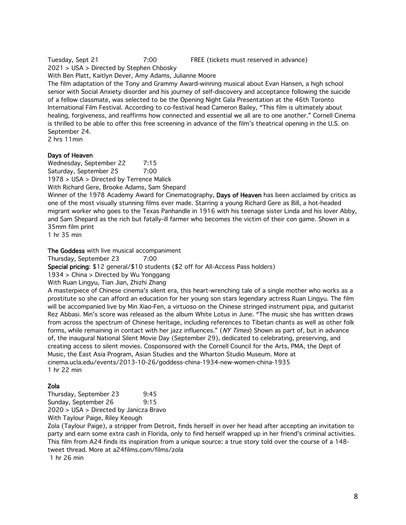Tuesday, Sept 21 7:00 FREE (tickets must reserved in advance) 2021 > USA > Directed by Stephen Chbosky

With Ben Platt, Kaitlyn Dever, Amy Adams, Julianne Moore

The film adaptation of the Tony and Grammy Award-winning musical about Evan Hansen, a high school senior with Social Anxiety disorder and his journey of self-discovery and acceptance following the suicide of a fellow classmate, was selected to be the Opening Night Gala Presentation at the 46th Toronto International Film Festival. According to co-festival head Cameron Bailey, "This film is ultimately about healing, forgiveness, and reaffirms how connected and essential we all are to one another." Cornell Cinema is thrilled to be able to offer this free screening in advance of the film's theatrical opening in the U.S. on September 24.

2 hrs 11min

#### Days of Heaven

Wednesday, September 22 7:15 Saturday, September 25 7:00 1978 > USA > Directed by Terrence Malick With Richard Gere, Brooke Adams, Sam Shepard Winner of the 1978 Academy Award for Cinematography, Days of Heaven has been acclaimed by critics as one of the most visually stunning films ever made. Starring a young Richard Gere as Bill, a hot-headed migrant worker who goes to the Texas Panhandle in 1916 with his teenage sister Linda and his lover Abby, and Sam Shepard as the rich but fatally-ill farmer who becomes the victim of their con game. Shown in a 35mm film print

1 hr 35 min

The Goddess with live musical accompaniment

Thursday, September 23 7:00

Special pricing: \$12 general/\$10 students (\$2 off for All-Access Pass holders)

1934 > China > Directed by Wu Yonggang

With Ruan Lingyu, Tian Jian, Zhizhi Zhang

A masterpiece of Chinese cinema's silent era, this heart-wrenching tale of a single mother who works as a prostitute so she can afford an education for her young son stars legendary actress Ruan Lingyu. The film will be accompanied live by Min Xiao-Fen, a virtuoso on the Chinese stringed instrument pipa, and guitarist Rez Abbasi. Min's score was released as the album White Lotus in June. "The music she has written draws from across the spectrum of Chinese heritage, including references to Tibetan chants as well as other folk forms, while remaining in contact with her jazz influences." (NY Times) Shown as part of, but in advance of, the inaugural National Silent Movie Day (September 29), dedicated to celebrating, preserving, and creating access to silent movies. Cosponsored with the Cornell Council for the Arts, PMA, the Dept of Music, the East Asia Program, Asian Studies and the Wharton Studio Museum. More at cinema.ucla.edu/events/2013-10-26/goddess-china-1934-new-women-china-1935 1 hr 22 min

#### Zola

Thursday, September 23 9:45 Sunday, September 26 9:15 2020 > USA > Directed by Janicza Bravo

With Taylour Paige, Riley Keough

Zola (Taylour Paige), a stripper from Detroit, finds herself in over her head after accepting an invitation to party and earn some extra cash in Florida, only to find herself wrapped up in her friend's criminal activities. This film from A24 finds its inspiration from a unique source: a true story told over the course of a 148 tweet thread. More at a24films.com/films/zola

1 hr 26 min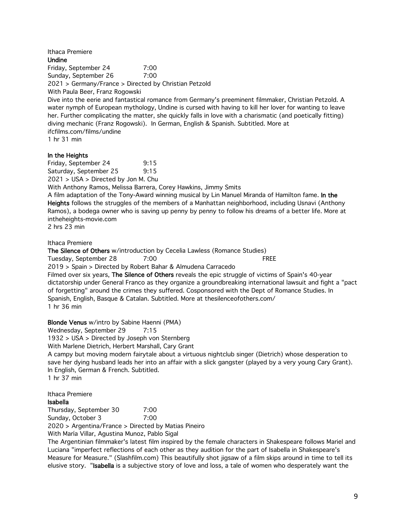Ithaca Premiere

Undine

Friday, September 24 7:00 Sunday, September 26 7:00 2021 > Germany/France > Directed by Christian Petzold With Paula Beer, Franz Rogowski

Dive into the eerie and fantastical romance from Germany's preeminent filmmaker, Christian Petzold. A water nymph of European mythology, Undine is cursed with having to kill her lover for wanting to leave her. Further complicating the matter, she quickly falls in love with a charismatic (and poetically fitting) diving mechanic (Franz Rogowski). In German, English & Spanish. Subtitled. More at ifcfilms.com/films/undine

1 hr 31 min

#### In the Heights

Friday, September 24 9:15 Saturday, September 25 9:15

2021 > USA > Directed by Jon M. Chu

With Anthony Ramos, Melissa Barrera, Corey Hawkins, Jimmy Smits

A film adaptation of the Tony-Award winning musical by Lin Manuel Miranda of Hamilton fame. In the Heights follows the struggles of the members of a Manhattan neighborhood, including Usnavi (Anthony Ramos), a bodega owner who is saving up penny by penny to follow his dreams of a better life. More at intheheights-movie.com

2 hrs 23 min

Ithaca Premiere

The Silence of Others w/introduction by Cecelia Lawless (Romance Studies)

Tuesday, September 28 7:00 FREE

2019 > Spain > Directed by Robert Bahar & Almudena Carracedo

Filmed over six years. The Silence of Others reveals the epic struggle of victims of Spain's 40-year dictatorship under General Franco as they organize a groundbreaking international lawsuit and fight a "pact of forgetting" around the crimes they suffered. Cosponsored with the Dept of Romance Studies. In Spanish, English, Basque & Catalan. Subtitled. More at thesilenceofothers.com/ 1 hr 36 min

Blonde Venus w/intro by Sabine Haenni (PMA)

Wednesday, September 29 7:15

1932 > USA > Directed by Joseph von Sternberg

With Marlene Dietrich, Herbert Marshall, Cary Grant

A campy but moving modern fairytale about a virtuous nightclub singer (Dietrich) whose desperation to save her dying husband leads her into an affair with a slick gangster (played by a very young Cary Grant). In English, German & French. Subtitled.

1 hr 37 min

Ithaca Premiere

#### Isabella

Thursday, September 30 7:00 Sunday, October 3 7:00 2020 > Argentina/France > Directed by Matias Pineiro

With María Villar, Agustina Munoz, Pablo Sigal

The Argentinian filmmaker's latest film inspired by the female characters in Shakespeare follows Mariel and Luciana "imperfect reflections of each other as they audition for the part of Isabella in Shakespeare's Measure for Measure." (Slashfilm.com) This beautifully shot jigsaw of a film skips around in time to tell its elusive story. "Isabella is a subjective story of love and loss, a tale of women who desperately want the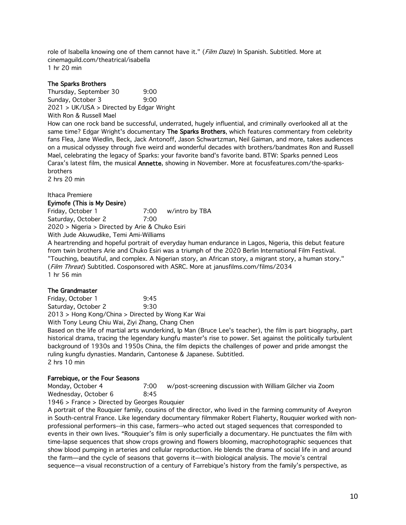role of Isabella knowing one of them cannot have it." (Film Daze) In Spanish. Subtitled. More at cinemaguild.com/theatrical/isabella 1 hr 20 min

#### The Sparks Brothers

Thursday, September 30 9:00 Sunday, October 3 9:00 2021 > UK/USA > Directed by Edgar Wright With Ron & Russell Mael

How can one rock band be successful, underrated, hugely influential, and criminally overlooked all at the same time? Edgar Wright's documentary The Sparks Brothers, which features commentary from celebrity fans Flea, Jane Wiedlin, Beck, Jack Antonoff, Jason Schwartzman, Neil Gaiman, and more, takes audiences on a musical odyssey through five weird and wonderful decades with brothers/bandmates Ron and Russell Mael, celebrating the legacy of Sparks: your favorite band's favorite band. BTW: Sparks penned Leos Carax's latest film, the musical Annette, showing in November. More at focusfeatures.com/the-sparksbrothers

2 hrs 20 min

## Ithaca Premiere

#### Eyimofe (This is My Desire)

Friday, October 1 7:00 w/intro by TBA Saturday, October 2 7:00 2020 > Nigeria > Directed by Arie & Chuko Esiri

With Jude Akuwudike, Temi Ami-Williams

A heartrending and hopeful portrait of everyday human endurance in Lagos, Nigeria, this debut feature from twin brothers Arie and Chuko Esiri was a triumph of the 2020 Berlin International Film Festival. "Touching, beautiful, and complex. A Nigerian story, an African story, a migrant story, a human story." (Film Threat) Subtitled. Cosponsored with ASRC. More at janusfilms.com/films/2034 1 hr 56 min

### The Grandmaster

Friday, October 1 9:45 Saturday, October 2 9:30 2013 > Hong Kong/China > Directed by Wong Kar Wai

With Tony Leung Chiu Wai, Ziyi Zhang, Chang Chen

Based on the life of martial arts wunderkind, Ip Man (Bruce Lee's teacher), the film is part biography, part historical drama, tracing the legendary kungfu master's rise to power. Set against the politically turbulent background of 1930s and 1950s China, the film depicts the challenges of power and pride amongst the ruling kungfu dynasties. Mandarin, Cantonese & Japanese. Subtitled. 2 hrs 10 min

### Farrebique, or the Four Seasons

Monday, October 4 7:00 w/post-screening discussion with William Gilcher via Zoom Wednesday, October 6 8:45

1946 > France > Directed by Georges Rouquier

A portrait of the Rouquier family, cousins of the director, who lived in the farming community of Aveyron in South-central France. Like legendary documentary filmmaker Robert Flaherty, Rouquier worked with nonprofessional performers--in this case, farmers--who acted out staged sequences that corresponded to events in their own lives. "Rouquier's film is only superficially a documentary. He punctuates the film with time-lapse sequences that show crops growing and flowers blooming, macrophotographic sequences that show blood pumping in arteries and cellular reproduction. He blends the drama of social life in and around the farm—and the cycle of seasons that governs it—with biological analysis. The movie's central sequence—a visual reconstruction of a century of Farrebique's history from the family's perspective, as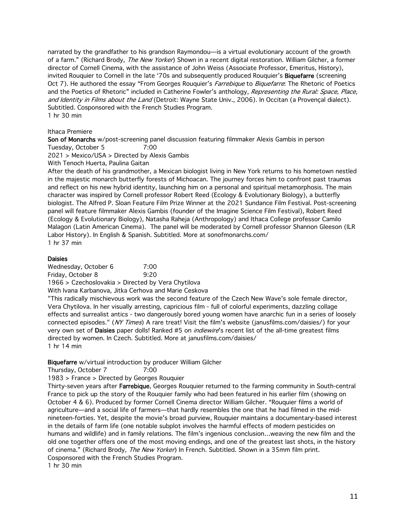narrated by the grandfather to his grandson Raymondou—is a virtual evolutionary account of the growth of a farm." (Richard Brody, *The New Yorker*) Shown in a recent digital restoration. William Gilcher, a former director of Cornell Cinema, with the assistance of John Weiss (Associate Professor, Emeritus, History), invited Rouquier to Cornell in the late '70s and subsequently produced Rouquier's Biquefarre (screening Oct 7). He authored the essay "From Georges Rouquier's Farrebique to Biquefarre: The Rhetoric of Poetics and the Poetics of Rhetoric" included in Catherine Fowler's anthology, Representing the Rural: Space, Place, and Identity in Films about the Land (Detroit: Wayne State Univ., 2006). In Occitan (a Provençal dialect). Subtitled. Cosponsored with the French Studies Program. 1 hr 30 min

#### Ithaca Premiere

Son of Monarchs w/post-screening panel discussion featuring filmmaker Alexis Gambis in person Tuesday, October 5 7:00

2021 > Mexico/USA > Directed by Alexis Gambis

With Tenoch Huerta, Paulina Gaitan

After the death of his grandmother, a Mexican biologist living in New York returns to his hometown nestled in the majestic monarch butterfly forests of Michoacan. The journey forces him to confront past traumas and reflect on his new hybrid identity, launching him on a personal and spiritual metamorphosis. The main character was inspired by Cornell professor Robert Reed (Ecology & Evolutionary Biology), a butterfly biologist. The Alfred P. Sloan Feature Film Prize Winner at the 2021 Sundance Film Festival. Post-screening panel will feature filmmaker Alexis Gambis (founder of the Imagine Science Film Festival), Robert Reed (Ecology & Evolutionary Biology), Natasha Raheja (Anthropology) and Ithaca College professor Camilo Malagon (Latin American Cinema). The panel will be moderated by Cornell professor Shannon Gleeson (ILR Labor History). In English & Spanish. Subtitled. More at sonofmonarchs.com/ 1 hr 37 min

#### **Daisies**

Wednesday, October 6 7:00 Friday, October 8 9:20 1966 > Czechoslovakia > Directed by Vera Chytilova

With Ivana Karbanova, Jitka Cerhova and Marie Ceskova

"This radically mischievous work was the second feature of the Czech New Wave's sole female director, Vera Chytilova. In her visually arresting, capricious film - full of colorful experiments, dazzling collage effects and surrealist antics - two dangerously bored young women have anarchic fun in a series of loosely connected episodes." (NY Times) A rare treat! Visit the film's website (janusfilms.com/daisies/) for your very own set of Daisies paper dolls! Ranked #5 on *indiewire*'s recent list of the all-time greatest films directed by women. In Czech. Subtitled. More at janusfilms.com/daisies/ 1 hr 14 min

#### Biquefarre w/virtual introduction by producer William Gilcher

Thursday, October 7 7:00

1983 > France > Directed by Georges Rouquier

Thirty-seven years after Farrebique, Georges Rouquier returned to the farming community in South-central France to pick up the story of the Rouquier family who had been featured in his earlier film (showing on October 4 & 6). Produced by former Cornell Cinema director William Gilcher. "Rouquier films a world of agriculture—and a social life of farmers—that hardly resembles the one that he had filmed in the midnineteen-forties. Yet, despite the movie's broad purview, Rouquier maintains a documentary-based interest in the details of farm life (one notable subplot involves the harmful effects of modern pesticides on humans and wildlife) and in family relations. The film's ingenious conclusion...weaving the new film and the old one together offers one of the most moving endings, and one of the greatest last shots, in the history of cinema." (Richard Brody, The New Yorker) In French. Subtitled. Shown in a 35mm film print. Cosponsored with the French Studies Program. 1 hr 30 min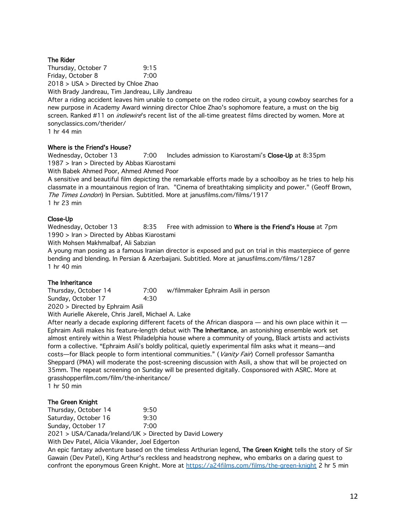### The Rider

Thursday, October 7 9:15 Friday, October 8 7:00 2018 > USA > Directed by Chloe Zhao

With Brady Jandreau, Tim Jandreau, Lilly Jandreau

After a riding accident leaves him unable to compete on the rodeo circuit, a young cowboy searches for a new purpose in Academy Award winning director Chloe Zhao's sophomore feature, a must on the big screen. Ranked #11 on *indiewire*'s recent list of the all-time greatest films directed by women. More at sonyclassics.com/therider/

1 hr 44 min

#### Where is the Friend's House?

Wednesday, October 13 7:00 Includes admission to Kiarostami's Close-Up at 8:35pm 1987 > Iran > Directed by Abbas Kiarostami

With Babek Ahmed Poor, Ahmed Ahmed Poor

A sensitive and beautiful film depicting the remarkable efforts made by a schoolboy as he tries to help his classmate in a mountainous region of Iran. "Cinema of breathtaking simplicity and power." (Geoff Brown, The Times London) In Persian. Subtitled. More at janusfilms.com/films/1917 1 hr 23 min

#### Close-Up

Wednesday, October 13 8:35 Free with admission to Where is the Friend's House at 7pm 1990 > Iran > Directed by Abbas Kiarostami

With Mohsen Makhmalbaf, Ali Sabzian

A young man posing as a famous Iranian director is exposed and put on trial in this masterpiece of genre bending and blending. In Persian & Azerbaijani. Subtitled. More at janusfilms.com/films/1287 1 hr 40 min

### The Inheritance

Thursday, October 14 7:00 w/filmmaker Ephraim Asili in person Sunday, October 17 4:30 2020 > Directed by Ephraim Asili

With Aurielle Akerele, Chris Jarell, Michael A. Lake

After nearly a decade exploring different facets of the African diaspora — and his own place within it — Ephraim Asili makes his feature-length debut with The Inheritance, an astonishing ensemble work set almost entirely within a West Philadelphia house where a community of young, Black artists and activists form a collective. "Ephraim Asili's boldly political, quietly experimental film asks what it means—and costs—for Black people to form intentional communities." (Vanity Fair) Cornell professor Samantha Sheppard (PMA) will moderate the post-screening discussion with Asili, a show that will be projected on 35mm. The repeat screening on Sunday will be presented digitally. Cosponsored with ASRC. More at grasshopperfilm.com/film/the-inheritance/

1 hr 50 min

### The Green Knight

Thursday, October 14 9:50 Saturday, October 16 9:30 Sunday, October 17 7:00

2021 > USA/Canada/Ireland/UK > Directed by David Lowery

With Dev Patel, Alicia Vikander, Joel Edgerton

An epic fantasy adventure based on the timeless Arthurian legend, The Green Knight tells the story of Sir Gawain (Dev Patel), King Arthur's reckless and headstrong nephew, who embarks on a daring quest to confront the eponymous Green Knight. More at https://a24films.com/films/the-green-knight 2 hr 5 min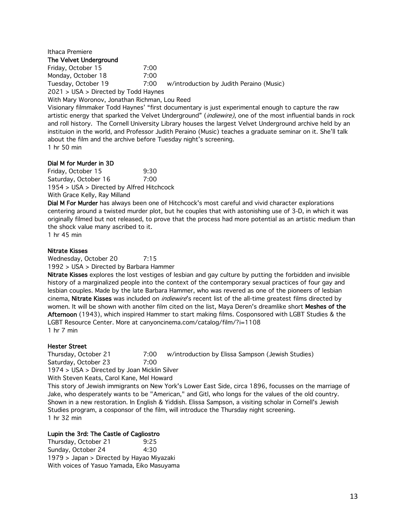Ithaca Premiere The Velvet Underground Friday, October 15 7:00 Monday, October 18 7:00 Tuesday, October 19 7:00 w/introduction by Judith Peraino (Music) 2021 > USA > Directed by Todd Haynes

With Mary Woronov, Jonathan Richman, Lou Reed

Visionary filmmaker Todd Haynes' "first documentary is just experimental enough to capture the raw artistic energy that sparked the Velvet Underground" (*indiewire*), one of the most influential bands in rock and roll history. The Cornell University Library houses the largest Velvet Underground archive held by an instituion in the world, and Professor Judith Peraino (Music) teaches a graduate seminar on it. She'll talk about the film and the archive before Tuesday night's screening. 1 hr 50 min

#### Dial M for Murder in 3D

Friday, October 15 9:30 Saturday, October 16 7:00 1954 > USA > Directed by Alfred Hitchcock With Grace Kelly, Ray Milland

Dial M For Murder has always been one of Hitchcock's most careful and vivid character explorations centering around a twisted murder plot, but he couples that with astonishing use of 3-D, in which it was originally filmed but not released, to prove that the process had more potential as an artistic medium than the shock value many ascribed to it.

1 hr 45 min

#### Nitrate Kisses

Wednesday, October 20 7:15 1992 > USA > Directed by Barbara Hammer

Nitrate Kisses explores the lost vestiges of lesbian and gay culture by putting the forbidden and invisible history of a marginalized people into the context of the contemporary sexual practices of four gay and lesbian couples. Made by the late Barbara Hammer, who was revered as one of the pioneers of lesbian cinema, Nitrate Kisses was included on *indiewire*'s recent list of the all-time greatest films directed by women. It will be shown with another film cited on the list, Maya Deren's dreamlike short Meshes of the Afternoon (1943), which inspired Hammer to start making films. Cosponsored with LGBT Studies & the LGBT Resource Center. More at canyoncinema.com/catalog/film/?i=1108 1 hr 7 min

### Hester Street

Thursday, October 21 7:00 w/introduction by Elissa Sampson (Jewish Studies) Saturday, October 23 7:00 1974 > USA > Directed by Joan Micklin Silver

With Steven Keats, Carol Kane, Mel Howard

This story of Jewish immigrants on New York's Lower East Side, circa 1896, focusses on the marriage of Jake, who desperately wants to be "American," and Gitl, who longs for the values of the old country. Shown in a new restoration. In English & Yiddish. Elissa Sampson, a visiting scholar in Cornell's Jewish Studies program, a cosponsor of the film, will introduce the Thursday night screening. 1 hr 32 min

#### Lupin the 3rd: The Castle of Cagliostro

Thursday, October 21 9:25 Sunday, October 24 4:30 1979 > Japan > Directed by Hayao Miyazaki With voices of Yasuo Yamada, Eiko Masuyama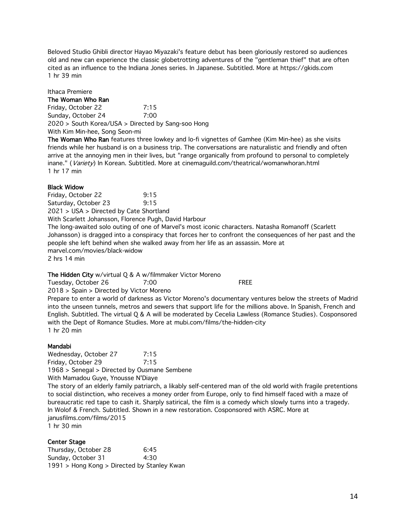Beloved Studio Ghibli director Hayao Miyazaki's feature debut has been gloriously restored so audiences old and new can experience the classic globetrotting adventures of the "gentleman thief" that are often cited as an influence to the Indiana Jones series. In Japanese. Subtitled. More at https://gkids.com 1 hr 39 min

## Ithaca Premiere

The Woman Who Ran Friday, October 22 7:15 Sunday, October 24 7:00 2020 > South Korea/USA > Directed by Sang-soo Hong With Kim Min-hee, Song Seon-mi

The Woman Who Ran features three lowkey and lo-fi vignettes of Gamhee (Kim Min-hee) as she visits friends while her husband is on a business trip. The conversations are naturalistic and friendly and often arrive at the annoying men in their lives, but "range organically from profound to personal to completely inane." (Variety) In Korean. Subtitled. More at cinemaguild.com/theatrical/womanwhoran.html 1 hr 17 min

### Black Widow

Friday, October 22 9:15 Saturday, October 23 9:15 2021 > USA > Directed by Cate Shortland With Scarlett Johansson, Florence Pugh, David Harbour The long-awaited solo outing of one of Marvel's most iconic characters. Natasha Romanoff (Scarlett Johansson) is dragged into a conspiracy that forces her to confront the consequences of her past and the people she left behind when she walked away from her life as an assassin. More at marvel.com/movies/black-widow 2 hrs 14 min

### The Hidden City w/virtual Q & A w/filmmaker Victor Moreno

Tuesday, October 26 7:00 FREE

2018 > Spain > Directed by Victor Moreno

Prepare to enter a world of darkness as Victor Moreno's documentary ventures below the streets of Madrid into the unseen tunnels, metros and sewers that support life for the millions above. In Spanish, French and English. Subtitled. The virtual Q & A will be moderated by Cecelia Lawless (Romance Studies). Cosponsored with the Dept of Romance Studies. More at mubi.com/films/the-hidden-city 1 hr 20 min

### Mandabi

Wednesday, October 27 7:15 Friday, October 29 7:15 1968 > Senegal > Directed by Ousmane Sembene With Mamadou Guye, Ynousse N'Diaye The story of an elderly family patriarch, a likably self-centered man of the old world with fragile pretentions to social distinction, who receives a money order from Europe, only to find himself faced with a maze of bureaucratic red tape to cash it. Sharply satirical, the film is a comedy which slowly turns into a tragedy. In Wolof & French. Subtitled. Shown in a new restoration. Cosponsored with ASRC. More at janusfilms.com/films/2015

1 hr 30 min

### Center Stage

Thursday, October 28 6:45 Sunday, October 31 4:30 1991 > Hong Kong > Directed by Stanley Kwan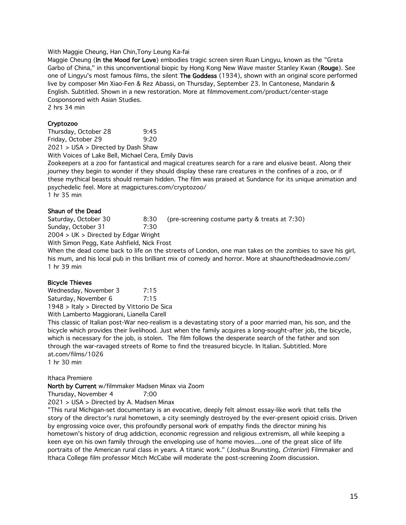#### With Maggie Cheung, Han Chin,Tony Leung Ka-fai

Maggie Cheung (In the Mood for Love) embodies tragic screen siren Ruan Lingyu, known as the "Greta Garbo of China," in this unconventional biopic by Hong Kong New Wave master Stanley Kwan (Rouge). See one of Lingyu's most famous films, the silent The Goddess (1934), shown with an original score performed live by composer Min Xiao-Fen & Rez Abassi, on Thursday, September 23. In Cantonese, Mandarin & English. Subtitled. Shown in a new restoration. More at filmmovement.com/product/center-stage Cosponsored with Asian Studies.

2 hrs 34 min

#### Cryptozoo

Thursday, October 28 9:45 Friday, October 29 9:20 2021 > USA > Directed by Dash Shaw

With Voices of Lake Bell, Michael Cera, Emily Davis

Zookeepers at a zoo for fantastical and magical creatures search for a rare and elusive beast. Along their journey they begin to wonder if they should display these rare creatures in the confines of a zoo, or if these mythical beasts should remain hidden. The film was praised at Sundance for its unique animation and psychedelic feel. More at magpictures.com/cryptozoo/ 1 hr 35 min

#### Shaun of the Dead

Saturday, October 30 8:30 (pre-screening costume party & treats at 7:30) Sunday, October 31 7:30 2004 > UK > Directed by Edgar Wright With Simon Pegg, Kate Ashfield, Nick Frost

When the dead come back to life on the streets of London, one man takes on the zombies to save his girl, his mum, and his local pub in this brilliant mix of comedy and horror. More at shaunofthedeadmovie.com/ 1 hr 39 min

#### Bicycle Thieves

Wednesday, November 3 7:15 Saturday, November 6 7:15 1948 > Italy > Directed by Vittorio De Sica With Lamberto Maggiorani, Lianella Carell

This classic of Italian post-War neo-realism is a devastating story of a poor married man, his son, and the bicycle which provides their livelihood. Just when the family acquires a long-sought-after job, the bicycle, which is necessary for the job, is stolen. The film follows the desperate search of the father and son through the war-ravaged streets of Rome to find the treasured bicycle. In Italian. Subtitled. More at.com/films/1026 1 hr 30 min

Ithaca Premiere

North by Current w/filmmaker Madsen Minax via Zoom

Thursday, November 4 7:00

2021 > USA > Directed by A. Madsen Minax

"This rural Michigan-set documentary is an evocative, deeply felt almost essay-like work that tells the story of the director's rural hometown, a city seemingly destroyed by the ever-present opioid crisis. Driven by engrossing voice over, this profoundly personal work of empathy finds the director mining his hometown's history of drug addiction, economic regression and religious extremism, all while keeping a keen eye on his own family through the enveloping use of home movies....one of the great slice of life portraits of the American rural class in years. A titanic work." (Joshua Brunsting, *Criterion*) Filmmaker and Ithaca College film professor Mitch McCabe will moderate the post-screening Zoom discussion.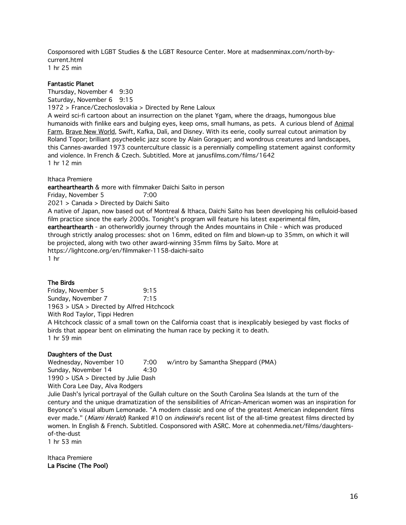Cosponsored with LGBT Studies & the LGBT Resource Center. More at madsenminax.com/north-bycurrent.html 1 hr 25 min

## Fantastic Planet

Thursday, November 4 9:30 Saturday, November 6 9:15 1972 > France/Czechoslovakia > Directed by Rene Laloux A weird sci-fi cartoon about an insurrection on the planet Ygam, where the draags, humongous blue humanoids with finlike ears and bulging eyes, keep oms, small humans, as pets. A curious blend of Animal Farm, Brave New World, Swift, Kafka, Dalí, and Disney. With its eerie, coolly surreal cutout animation by Roland Topor; brilliant psychedelic jazz score by Alain Goraguer; and wondrous creatures and landscapes, this Cannes-awarded 1973 counterculture classic is a perennially compelling statement against conformity and violence. In French & Czech. Subtitled. More at janusfilms.com/films/1642 1 hr 12 min

Ithaca Premiere

earthearthearth & more with filmmaker Daïchi Saïto in person

Friday, November 5 7:00

2021 > Canada > Directed by Daïchi Saïto

A native of Japan, now based out of Montreal & Ithaca, Daïchi Saïto has been developing his celluloid-based film practice since the early 2000s. Tonight's program will feature his latest experimental film, earthearthearth - an otherworldly journey through the Andes mountains in Chile - which was produced through strictly analog processes: shot on 16mm, edited on film and blown-up to 35mm, on which it will be projected, along with two other award-winning 35mm films by Saïto. More at https://lightcone.org/en/filmmaker-1158-daichi-saito 1 hr

### The Birds

Friday, November 5 9:15 Sunday, November 7 7:15 1963 > USA > Directed by Alfred Hitchcock With Rod Taylor, Tippi Hedren

A Hitchcock classic of a small town on the California coast that is inexplicably besieged by vast flocks of birds that appear bent on eliminating the human race by pecking it to death. 1 hr 59 min

### Daughters of the Dust

Wednesday, November 10 7:00 w/intro by Samantha Sheppard (PMA) Sunday, November 14 4:30 1990 > USA > Directed by Julie Dash With Cora Lee Day, Alva Rodgers

Julie Dash's lyrical portrayal of the Gullah culture on the South Carolina Sea Islands at the turn of the century and the unique dramatization of the sensibilities of African-American women was an inspiration for Beyonce's visual album Lemonade. "A modern classic and one of the greatest American independent films ever made." (Miami Herald) Ranked #10 on *indiewire*'s recent list of the all-time greatest films directed by women. In English & French. Subtitled. Cosponsored with ASRC. More at cohenmedia.net/films/daughtersof-the-dust

1 hr 53 min

Ithaca Premiere La Piscine (The Pool)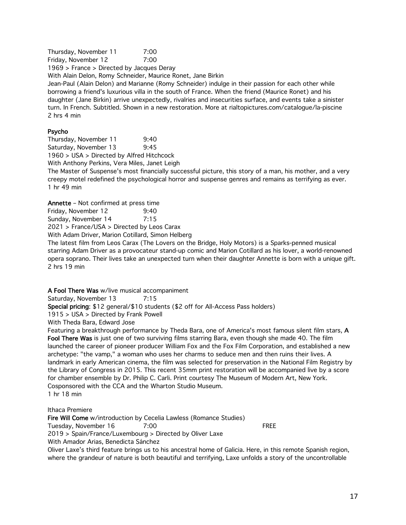Thursday, November 11 7:00 Friday, November 12 7:00 1969 > France > Directed by Jacques Deray

With Alain Delon, Romy Schneider, Maurice Ronet, Jane Birkin

Jean-Paul (Alain Delon) and Marianne (Romy Schneider) indulge in their passion for each other while borrowing a friend's luxurious villa in the south of France. When the friend (Maurice Ronet) and his daughter (Jane Birkin) arrive unexpectedly, rivalries and insecurities surface, and events take a sinister turn. In French. Subtitled. Shown in a new restoration. More at rialtopictures.com/catalogue/la-piscine 2 hrs 4 min

### Psycho

Thursday, November 11 9:40 Saturday, November 13 9:45 1960 > USA > Directed by Alfred Hitchcock With Anthony Perkins, Vera Miles, Janet Leigh The Master of Suspense's most financially successful picture, this story of a man, his mother, and a very creepy motel redefined the psychological horror and suspense genres and remains as terrifying as ever. 1 hr 49 min

Annette – Not confirmed at press time Friday, November 12 9:40 Sunday, November 14 7:15 2021 > France/USA > Directed by Leos Carax With Adam Driver, Marion Cotillard, Simon Helberg The latest film from Leos Carax (The Lovers on the Bridge, Holy Motors) is a Sparks-penned musical

starring Adam Driver as a provocateur stand-up comic and Marion Cotillard as his lover, a world-renowned opera soprano. Their lives take an unexpected turn when their daughter Annette is born with a unique gift. 2 hrs 19 min

A Fool There Was w/live musical accompaniment

Saturday, November 13 7:15

Special pricing: \$12 general/\$10 students (\$2 off for All-Access Pass holders)

1915 > USA > Directed by Frank Powell

With Theda Bara, Edward Jose

Featuring a breakthrough performance by Theda Bara, one of America's most famous silent film stars, A Fool There Was is just one of two surviving films starring Bara, even though she made 40. The film launched the career of pioneer producer William Fox and the Fox Film Corporation, and established a new archetype: "the vamp," a woman who uses her charms to seduce men and then ruins their lives. A landmark in early American cinema, the film was selected for preservation in the National Film Registry by the Library of Congress in 2015. This recent 35mm print restoration will be accompanied live by a score for chamber ensemble by Dr. Philip C. Carli. Print courtesy The Museum of Modern Art, New York. Cosponsored with the CCA and the Wharton Studio Museum. 1 hr 18 min

Ithaca Premiere

Fire Will Come w/introduction by Cecelia Lawless (Romance Studies)

Tuesday, November 16 7:00 FREE

2019 > Spain/France/Luxembourg > Directed by Oliver Laxe

With Amador Arias, Benedicta Sánchez

Oliver Laxe's third feature brings us to his ancestral home of Galicia. Here, in this remote Spanish region, where the grandeur of nature is both beautiful and terrifying, Laxe unfolds a story of the uncontrollable